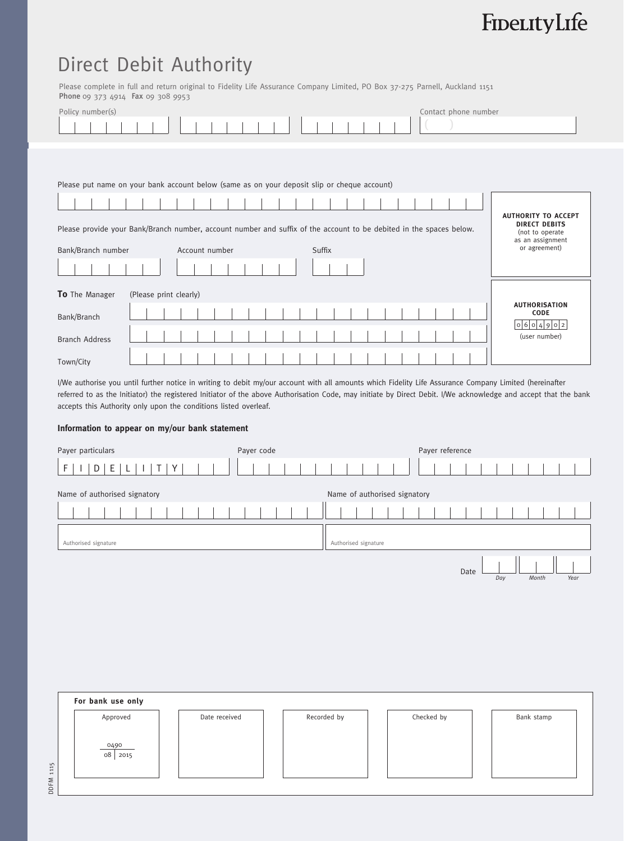# FinerityLife

## Direct Debit Authority

Please complete in full and return original to Fidelity Life Assurance Company Limited, PO Box 37-275 Parnell, Auckland 1151 Phone 09 373 4914 Fax 09 308 9953

| Policy number(s)                                                                                                                                                      | Contact phone number                                                                                       |
|-----------------------------------------------------------------------------------------------------------------------------------------------------------------------|------------------------------------------------------------------------------------------------------------|
| Please put name on your bank account below (same as on your deposit slip or cheque account)                                                                           |                                                                                                            |
| Please provide your Bank/Branch number, account number and suffix of the account to be debited in the spaces below.<br>Bank/Branch number<br>Suffix<br>Account number | <b>AUTHORITY TO ACCEPT</b><br><b>DIRECT DEBITS</b><br>(not to operate<br>as an assignment<br>or agreement) |
| To The Manager<br>(Please print clearly)<br>Bank/Branch<br><b>Branch Address</b>                                                                                      | <b>AUTHORISATION</b><br>CODE<br> 0 6 0 4 9 0 2<br>(user number)                                            |
|                                                                                                                                                                       |                                                                                                            |

I/We authorise you until further notice in writing to debit my/our account with all amounts which Fidelity Life Assurance Company Limited (hereinafter referred to as the Initiator) the registered Initiator of the above Authorisation Code, may initiate by Direct Debit. I/We acknowledge and accept that the bank accepts this Authority only upon the conditions listed overleaf.

### **Information to appear on my/our bank statement**

| Payer particulars                                         | Payer code    |                      | Payer reference              |                              |
|-----------------------------------------------------------|---------------|----------------------|------------------------------|------------------------------|
| E<br>D<br>Y<br>$\mathsf F$<br>$\mathsf T$<br>$\mathsf{L}$ |               |                      |                              |                              |
| Name of authorised signatory                              |               |                      | Name of authorised signatory |                              |
|                                                           |               |                      |                              |                              |
| Authorised signature                                      |               | Authorised signature |                              |                              |
|                                                           |               |                      |                              |                              |
|                                                           |               |                      |                              | Date<br>Day<br>Month<br>Year |
|                                                           |               |                      |                              |                              |
|                                                           |               |                      |                              |                              |
|                                                           |               |                      |                              |                              |
|                                                           |               |                      |                              |                              |
|                                                           |               |                      |                              |                              |
|                                                           |               |                      |                              |                              |
| For bank use only                                         |               |                      |                              |                              |
| Approved                                                  | Date received | Recorded by          | Checked by                   | Bank stamp                   |
|                                                           |               |                      |                              |                              |
| 0490                                                      |               |                      |                              |                              |
| 08 2015                                                   |               |                      |                              |                              |
| DDFM 1115                                                 |               |                      |                              |                              |
|                                                           |               |                      |                              |                              |